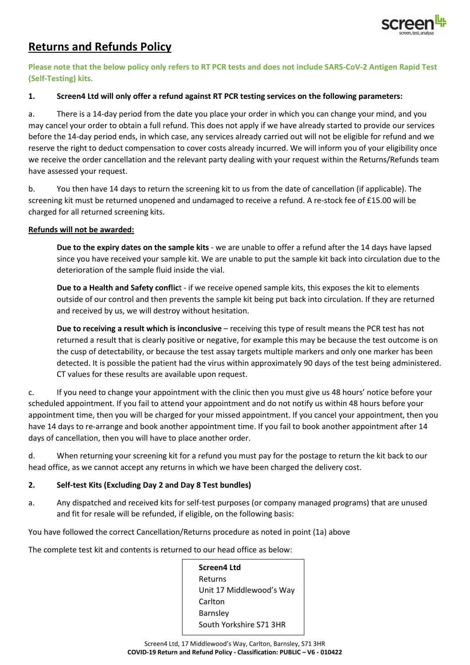

# **Returns and Refunds Policy**

**Please note that the below policy only refers to RT PCR tests and does not include SARS-CoV-2 Antigen Rapid Test (Self-Testing) kits.**

## **1. Screen4 Ltd will only offer a refund against RT PCR testing services on the following parameters:**

a. There is a 14-day period from the date you place your order in which you can change your mind, and you may cancel your order to obtain a full refund. This does not apply if we have already started to provide our services before the 14-day period ends, in which case, any services already carried out will not be eligible for refund and we reserve the right to deduct compensation to cover costs already incurred. We will inform you of your eligibility once we receive the order cancellation and the relevant party dealing with your request within the Returns/Refunds team have assessed your request.

b. You then have 14 days to return the screening kit to us from the date of cancellation (if applicable). The screening kit must be returned unopened and undamaged to receive a refund. A re-stock fee of £15.00 will be charged for all returned screening kits.

## **Refunds will not be awarded:**

**Due to the expiry dates on the sample kits** - we are unable to offer a refund after the 14 days have lapsed since you have received your sample kit. We are unable to put the sample kit back into circulation due to the deterioration of the sample fluid inside the vial.

**Due to a Health and Safety conflic**t - if we receive opened sample kits, this exposes the kit to elements outside of our control and then prevents the sample kit being put back into circulation. If they are returned and received by us, we will destroy without hesitation.

**Due to receiving a result which is inconclusive** – receiving this type of result means the PCR test has not returned a result that is clearly positive or negative, for example this may be because the test outcome is on the cusp of detectability, or because the test assay targets multiple markers and only one marker has been detected. It is possible the patient had the virus within approximately 90 days of the test being administered. CT values for these results are available upon request.

c. If you need to change your appointment with the clinic then you must give us 48 hours' notice before your scheduled appointment. If you fail to attend your appointment and do not notify us within 48 hours before your appointment time, then you will be charged for your missed appointment. If you cancel your appointment, then you have 14 days to re-arrange and book another appointment time. If you fail to book another appointment after 14 days of cancellation, then you will have to place another order.

d. When returning your screening kit for a refund you must pay for the postage to return the kit back to our head office, as we cannot accept any returns in which we have been charged the delivery cost.

## **2. Self-test Kits (Excluding Day 2 and Day 8 Test bundles)**

a. Any dispatched and received kits for self-test purposes (or company managed programs) that are unused and fit for resale will be refunded, if eligible, on the following basis:

You have followed the correct Cancellation/Returns procedure as noted in point (1a) above

The complete test kit and contents is returned to our head office as below:

**Screen4 Ltd** Returns Unit 17 Middlewood's Way Carlton Barnsley South Yorkshire S71 3HR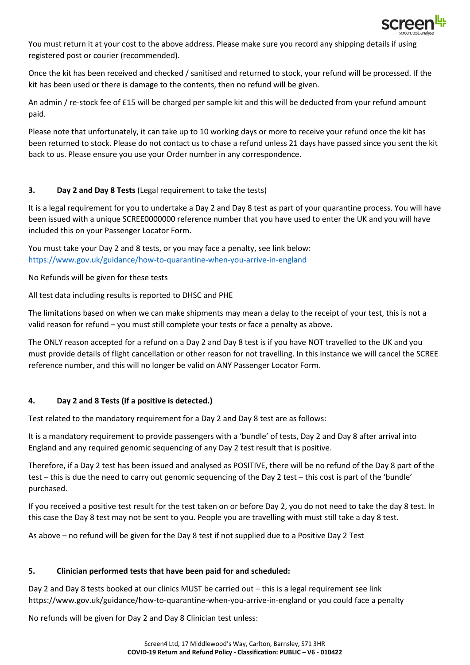

You must return it at your cost to the above address. Please make sure you record any shipping details if using registered post or courier (recommended).

Once the kit has been received and checked / sanitised and returned to stock, your refund will be processed. If the kit has been used or there is damage to the contents, then no refund will be given.

An admin / re-stock fee of £15 will be charged per sample kit and this will be deducted from your refund amount paid.

Please note that unfortunately, it can take up to 10 working days or more to receive your refund once the kit has been returned to stock. Please do not contact us to chase a refund unless 21 days have passed since you sent the kit back to us. Please ensure you use your Order number in any correspondence.

## **3. Day 2 and Day 8 Tests** (Legal requirement to take the tests)

It is a legal requirement for you to undertake a Day 2 and Day 8 test as part of your quarantine process. You will have been issued with a unique SCREE0000000 reference number that you have used to enter the UK and you will have included this on your Passenger Locator Form.

You must take your Day 2 and 8 tests, or you may face a penalty, see link below: <https://www.gov.uk/guidance/how-to-quarantine-when-you-arrive-in-england>

No Refunds will be given for these tests

All test data including results is reported to DHSC and PHE

The limitations based on when we can make shipments may mean a delay to the receipt of your test, this is not a valid reason for refund – you must still complete your tests or face a penalty as above.

The ONLY reason accepted for a refund on a Day 2 and Day 8 test is if you have NOT travelled to the UK and you must provide details of flight cancellation or other reason for not travelling. In this instance we will cancel the SCREE reference number, and this will no longer be valid on ANY Passenger Locator Form.

## **4. Day 2 and 8 Tests (if a positive is detected.)**

Test related to the mandatory requirement for a Day 2 and Day 8 test are as follows:

It is a mandatory requirement to provide passengers with a 'bundle' of tests, Day 2 and Day 8 after arrival into England and any required genomic sequencing of any Day 2 test result that is positive.

Therefore, if a Day 2 test has been issued and analysed as POSITIVE, there will be no refund of the Day 8 part of the test – this is due the need to carry out genomic sequencing of the Day 2 test – this cost is part of the 'bundle' purchased.

If you received a positive test result for the test taken on or before Day 2, you do not need to take the day 8 test. In this case the Day 8 test may not be sent to you. People you are travelling with must still take a day 8 test.

As above – no refund will be given for the Day 8 test if not supplied due to a Positive Day 2 Test

#### **5. Clinician performed tests that have been paid for and scheduled:**

Day 2 and Day 8 tests booked at our clinics MUST be carried out – this is a legal requirement see link https://www.gov.uk/guidance/how-to-quarantine-when-you-arrive-in-england or you could face a penalty

No refunds will be given for Day 2 and Day 8 Clinician test unless: